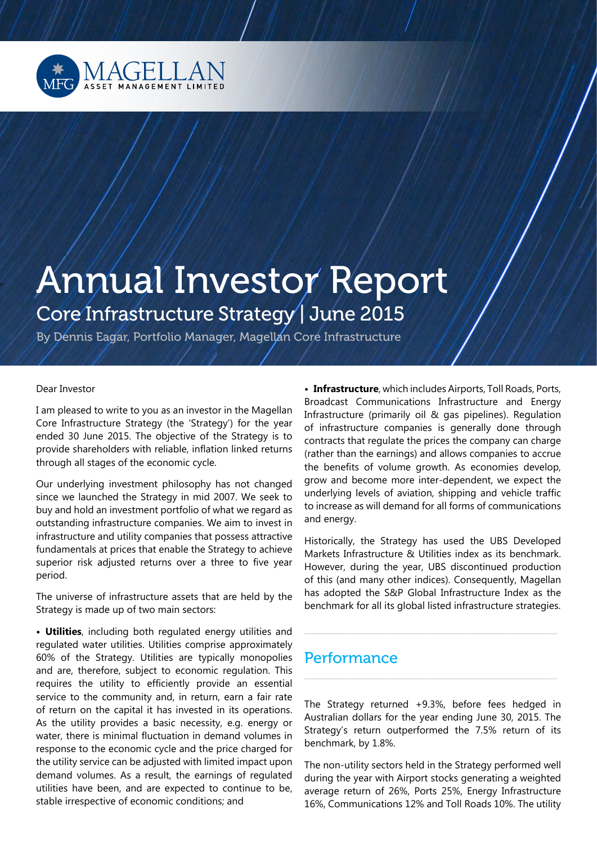

# Annual Investor Report Core Infrastructure Strategy | June 2015

By Dennis Eagar, Portfolio Manager, Magellan Core Infrastructure

### Dear Investor

I am pleased to write to you as an investor in the Magellan Core Infrastructure Strategy (the 'Strategy') for the year ended 30 June 2015. The objective of the Strategy is to provide shareholders with reliable, inflation linked returns through all stages of the economic cycle.

Our underlying investment philosophy has not changed since we launched the Strategy in mid 2007. We seek to buy and hold an investment portfolio of what we regard as outstanding infrastructure companies. We aim to invest in infrastructure and utility companies that possess attractive fundamentals at prices that enable the Strategy to achieve superior risk adjusted returns over a three to five year period.

The universe of infrastructure assets that are held by the Strategy is made up of two main sectors:

**• Utilities**, including both regulated energy utilities and regulated water utilities. Utilities comprise approximately 60% of the Strategy. Utilities are typically monopolies and are, therefore, subject to economic regulation. This requires the utility to efficiently provide an essential service to the community and, in return, earn a fair rate of return on the capital it has invested in its operations. As the utility provides a basic necessity, e.g. energy or water, there is minimal fluctuation in demand volumes in response to the economic cycle and the price charged for the utility service can be adjusted with limited impact upon demand volumes. As a result, the earnings of regulated utilities have been, and are expected to continue to be, stable irrespective of economic conditions; and

**• Infrastructure**, which includes Airports, Toll Roads, Ports, Broadcast Communications Infrastructure and Energy Infrastructure (primarily oil & gas pipelines). Regulation of infrastructure companies is generally done through contracts that regulate the prices the company can charge (rather than the earnings) and allows companies to accrue the benefits of volume growth. As economies develop, grow and become more inter-dependent, we expect the underlying levels of aviation, shipping and vehicle traffic to increase as will demand for all forms of communications and energy.

Historically, the Strategy has used the UBS Developed Markets Infrastructure & Utilities index as its benchmark. However, during the year, UBS discontinued production of this (and many other indices). Consequently, Magellan has adopted the S&P Global Infrastructure Index as the benchmark for all its global listed infrastructure strategies.

\_\_\_\_\_\_\_\_\_\_\_\_\_\_\_\_\_\_\_\_\_\_\_\_\_\_\_\_\_\_\_\_\_\_\_\_\_\_\_\_\_\_\_\_\_\_\_\_\_\_\_\_\_\_\_\_\_\_\_\_\_\_\_\_

\_\_\_\_\_\_\_\_\_\_\_\_\_\_\_\_\_\_\_\_\_\_\_\_\_\_\_\_\_\_\_\_\_\_\_\_\_\_\_\_\_\_\_\_\_\_\_\_\_\_\_\_\_\_\_\_\_\_\_\_\_\_\_\_

## **Performance**

The Strategy returned +9.3%, before fees hedged in Australian dollars for the year ending June 30, 2015. The Strategy's return outperformed the 7.5% return of its benchmark, by 1.8%.

The non-utility sectors held in the Strategy performed well during the year with Airport stocks generating a weighted average return of 26%, Ports 25%, Energy Infrastructure 16%, Communications 12% and Toll Roads 10%. The utility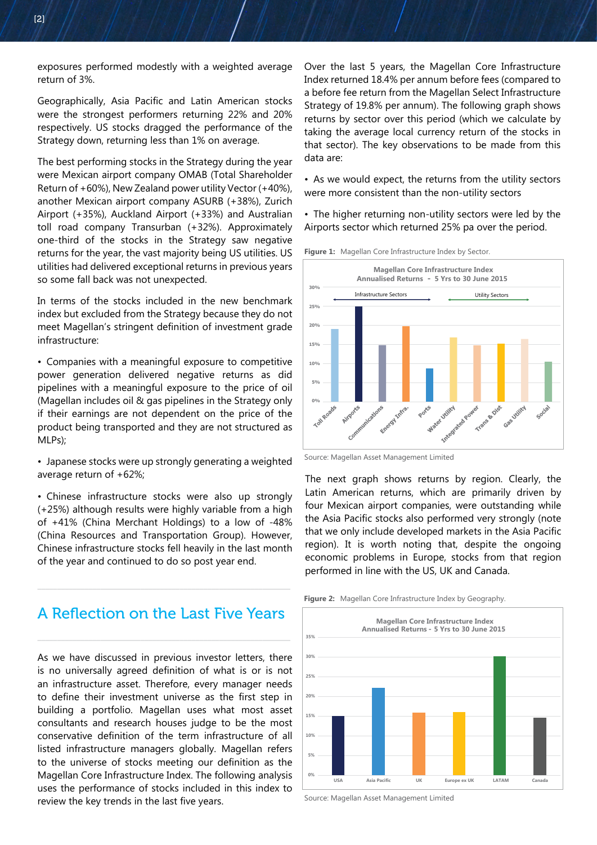exposures performed modestly with a weighted average return of 3%.

Geographically, Asia Pacific and Latin American stocks were the strongest performers returning 22% and 20% respectively. US stocks dragged the performance of the Strategy down, returning less than 1% on average.

The best performing stocks in the Strategy during the year were Mexican airport company OMAB (Total Shareholder Return of +60%), New Zealand power utility Vector (+40%), another Mexican airport company ASURB (+38%), Zurich Airport (+35%), Auckland Airport (+33%) and Australian toll road company Transurban (+32%). Approximately one-third of the stocks in the Strategy saw negative returns for the year, the vast majority being US utilities. US utilities had delivered exceptional returns in previous years so some fall back was not unexpected.

In terms of the stocks included in the new benchmark index but excluded from the Strategy because they do not meet Magellan's stringent definition of investment grade infrastructure:

• Companies with a meaningful exposure to competitive power generation delivered negative returns as did pipelines with a meaningful exposure to the price of oil (Magellan includes oil & gas pipelines in the Strategy only if their earnings are not dependent on the price of the product being transported and they are not structured as MLPs);

• Japanese stocks were up strongly generating a weighted average return of +62%;

• Chinese infrastructure stocks were also up strongly (+25%) although results were highly variable from a high of +41% (China Merchant Holdings) to a low of -48% (China Resources and Transportation Group). However, Chinese infrastructure stocks fell heavily in the last month of the year and continued to do so post year end.

A Reflection on the Last Five Years

\_\_\_\_\_\_\_\_\_\_\_\_\_\_\_\_\_\_\_\_\_\_\_\_\_\_\_\_\_\_\_\_\_\_\_\_\_\_\_\_\_\_\_\_\_\_\_\_\_\_\_\_\_\_\_\_\_\_\_\_\_\_\_\_

\_\_\_\_\_\_\_\_\_\_\_\_\_\_\_\_\_\_\_\_\_\_\_\_\_\_\_\_\_\_\_\_\_\_\_\_\_\_\_\_\_\_\_\_\_\_\_\_\_\_\_\_\_\_\_\_\_\_\_\_\_\_\_\_

As we have discussed in previous investor letters, there is no universally agreed definition of what is or is not an infrastructure asset. Therefore, every manager needs to define their investment universe as the first step in building a portfolio. Magellan uses what most asset consultants and research houses judge to be the most conservative definition of the term infrastructure of all listed infrastructure managers globally. Magellan refers to the universe of stocks meeting our definition as the Magellan Core Infrastructure Index. The following analysis uses the performance of stocks included in this index to review the key trends in the last five years.

Over the last 5 years, the Magellan Core Infrastructure Index returned 18.4% per annum before fees (compared to a before fee return from the Magellan Select Infrastructure Strategy of 19.8% per annum). The following graph shows returns by sector over this period (which we calculate by taking the average local currency return of the stocks in that sector). The key observations to be made from this data are:

• As we would expect, the returns from the utility sectors were more consistent than the non-utility sectors

• The higher returning non-utility sectors were led by the Airports sector which returned 25% pa over the period.



Figure 1: Magellan Core Infrastructure Index by Sector.

The next graph shows returns by region. Clearly, the Latin American returns, which are primarily driven by four Mexican airport companies, were outstanding while the Asia Pacific stocks also performed very strongly (note that we only include developed markets in the Asia Pacific region). It is worth noting that, despite the ongoing economic problems in Europe, stocks from that region performed in line with the US, UK and Canada.

**Figure 2:** Magellan Core Infrastructure Index by Geography.





Source: Magellan Asset Management Limited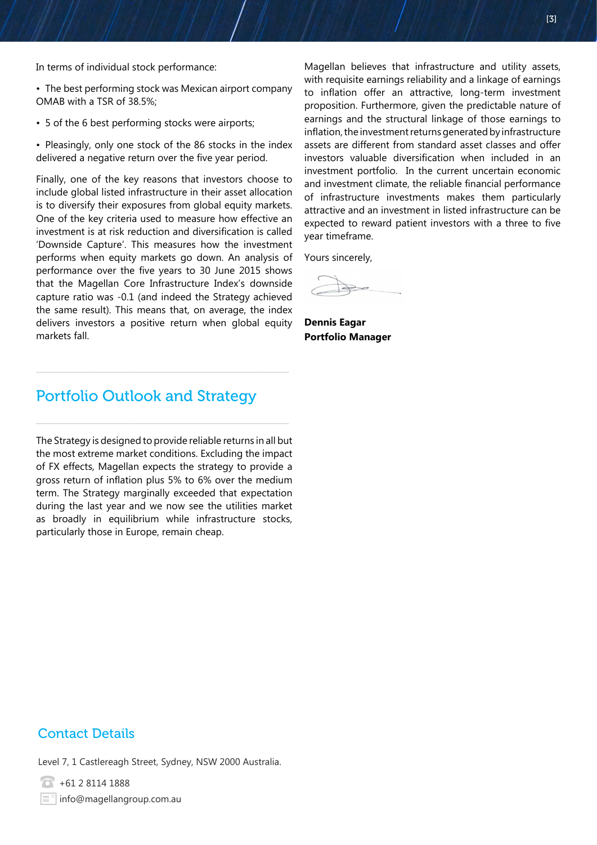In terms of individual stock performance:

- The best performing stock was Mexican airport company OMAB with a TSR of 38.5%;
- 5 of the 6 best performing stocks were airports;
- Pleasingly, only one stock of the 86 stocks in the index delivered a negative return over the five year period.

Finally, one of the key reasons that investors choose to include global listed infrastructure in their asset allocation is to diversify their exposures from global equity markets. One of the key criteria used to measure how effective an investment is at risk reduction and diversification is called 'Downside Capture'. This measures how the investment performs when equity markets go down. An analysis of performance over the five years to 30 June 2015 shows that the Magellan Core Infrastructure Index's downside capture ratio was -0.1 (and indeed the Strategy achieved the same result). This means that, on average, the index delivers investors a positive return when global equity markets fall.

Magellan believes that infrastructure and utility assets, with requisite earnings reliability and a linkage of earnings to inflation offer an attractive, long-term investment proposition. Furthermore, given the predictable nature of earnings and the structural linkage of those earnings to inflation, the investment returns generated by infrastructure assets are different from standard asset classes and offer investors valuable diversification when included in an investment portfolio. In the current uncertain economic and investment climate, the reliable financial performance of infrastructure investments makes them particularly attractive and an investment in listed infrastructure can be expected to reward patient investors with a three to five year timeframe.

Yours sincerely,

**Dennis Eagar Portfolio Manager**

# Portfolio Outlook and Strategy

The Strategy is designed to provide reliable returns in all but the most extreme market conditions. Excluding the impact of FX effects, Magellan expects the strategy to provide a gross return of inflation plus 5% to 6% over the medium term. The Strategy marginally exceeded that expectation during the last year and we now see the utilities market as broadly in equilibrium while infrastructure stocks, particularly those in Europe, remain cheap.

## Contact Details

Level 7, 1 Castlereagh Street, Sydney, NSW 2000 Australia.

 $\overline{6}$  +61 2 8114 1888  $\equiv$ <sup>o</sup> info@magellangroup.com.au